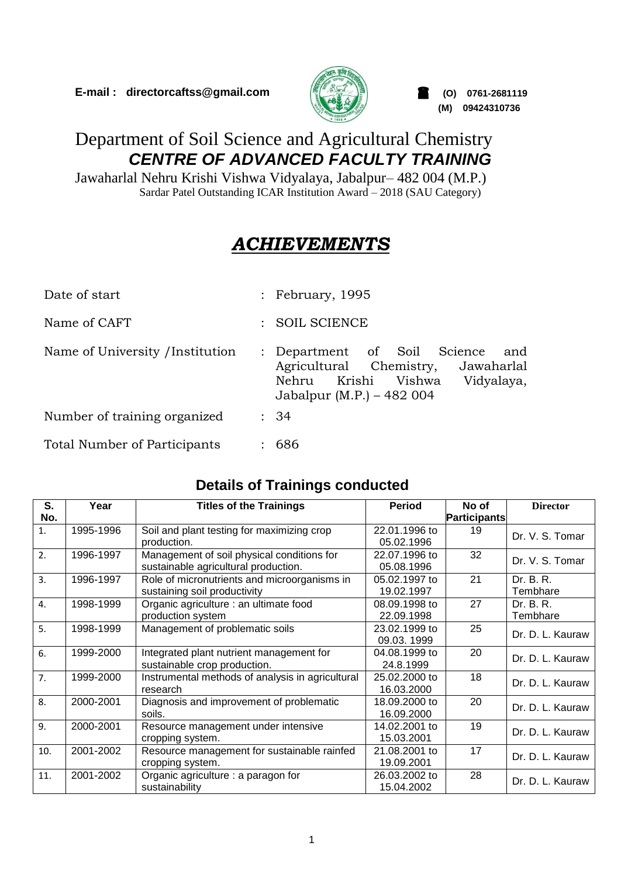

**(M) 09424310736**

# Department of Soil Science and Agricultural Chemistry *CENTRE OF ADVANCED FACULTY TRAINING*

Jawaharlal Nehru Krishi Vishwa Vidyalaya, Jabalpur– 482 004 (M.P.) Sardar Patel Outstanding ICAR Institution Award – 2018 (SAU Category)

# *ACHIEVEMENTS*

| Date of start                    | : February, 1995                                                                                                                                                  |  |  |
|----------------------------------|-------------------------------------------------------------------------------------------------------------------------------------------------------------------|--|--|
| Name of CAFT                     | <b>SOIL SCIENCE</b><br>$\mathcal{L}$                                                                                                                              |  |  |
| Name of University / Institution | Department of Soil Science<br>and<br>$\ddot{\cdot}$<br>Agricultural Chemistry,<br>Jawaharlal<br>Nehru Krishi<br>Vishwa<br>Vidyalaya,<br>Jabalpur (M.P.) – 482 004 |  |  |
| Number of training organized     | : 34                                                                                                                                                              |  |  |
| Total Number of Participants     | 686                                                                                                                                                               |  |  |

## **Details of Trainings conducted**

| S.             | Year      | <b>Titles of the Trainings</b>                   | <b>Period</b> | No of               | <b>Director</b>  |
|----------------|-----------|--------------------------------------------------|---------------|---------------------|------------------|
| No.            |           |                                                  |               | <b>Participants</b> |                  |
| 1.             | 1995-1996 | Soil and plant testing for maximizing crop       | 22.01.1996 to | 19                  | Dr. V. S. Tomar  |
|                |           | production.                                      | 05.02.1996    |                     |                  |
| 2.             | 1996-1997 | Management of soil physical conditions for       | 22.07.1996 to | 32                  | Dr. V. S. Tomar  |
|                |           | sustainable agricultural production.             | 05.08.1996    |                     |                  |
| 3.             | 1996-1997 | Role of micronutrients and microorganisms in     | 05.02.1997 to | 21                  | Dr. B. R.        |
|                |           | sustaining soil productivity                     | 19.02.1997    |                     | Tembhare         |
| 4.             | 1998-1999 | Organic agriculture : an ultimate food           | 08.09.1998 to | 27                  | Dr. B. R.        |
|                |           | production system                                | 22.09.1998    |                     | Tembhare         |
| 5.             | 1998-1999 | Management of problematic soils                  | 23.02.1999 to | 25                  | Dr. D. L. Kauraw |
|                |           |                                                  | 09.03.1999    |                     |                  |
| 6.             | 1999-2000 | Integrated plant nutrient management for         | 04.08.1999 to | 20                  | Dr. D. L. Kauraw |
|                |           | sustainable crop production.                     | 24.8.1999     |                     |                  |
| 7 <sub>1</sub> | 1999-2000 | Instrumental methods of analysis in agricultural | 25.02.2000 to | 18                  | Dr. D. L. Kauraw |
|                |           | research                                         | 16.03.2000    |                     |                  |
| 8.             | 2000-2001 | Diagnosis and improvement of problematic         | 18.09.2000 to | 20                  | Dr. D. L. Kauraw |
|                |           | soils.                                           | 16.09.2000    |                     |                  |
| 9.             | 2000-2001 | Resource management under intensive              | 14.02.2001 to | 19                  | Dr. D. L. Kauraw |
|                |           | cropping system.                                 | 15.03.2001    |                     |                  |
| 10.            | 2001-2002 | Resource management for sustainable rainfed      | 21.08.2001 to | 17                  |                  |
|                |           | cropping system.                                 | 19.09.2001    |                     | Dr. D. L. Kauraw |
| 11.            | 2001-2002 | Organic agriculture : a paragon for              | 26.03.2002 to | 28                  | Dr. D. L. Kauraw |
|                |           | sustainability                                   | 15.04.2002    |                     |                  |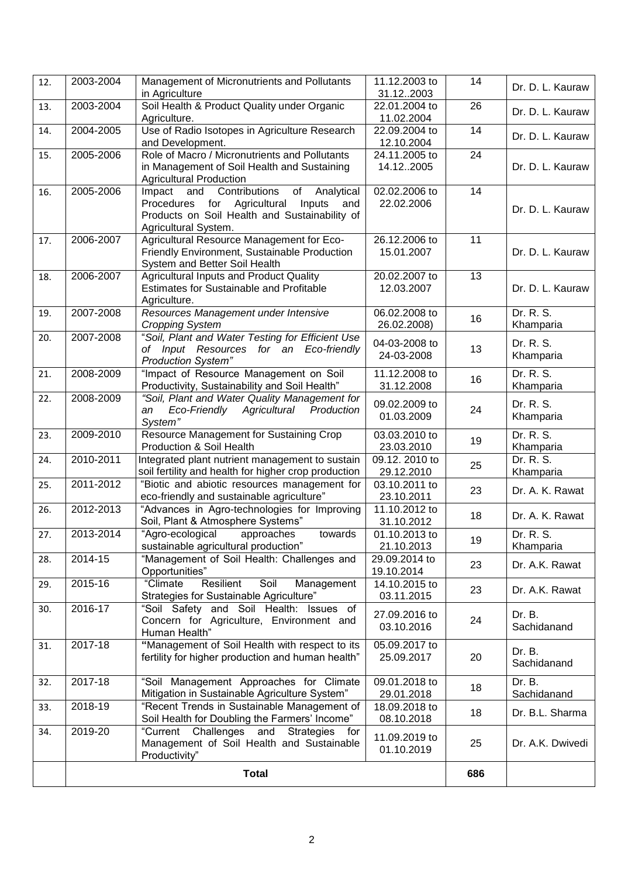| 12. | 2003-2004    | Management of Micronutrients and Pollutants<br>in Agriculture                                                                                                                   | 11.12.2003 to<br>31.122003   | 14              | Dr. D. L. Kauraw       |
|-----|--------------|---------------------------------------------------------------------------------------------------------------------------------------------------------------------------------|------------------------------|-----------------|------------------------|
| 13. | 2003-2004    | Soil Health & Product Quality under Organic<br>Agriculture.                                                                                                                     | 22.01.2004 to<br>11.02.2004  | 26              | Dr. D. L. Kauraw       |
| 14. | 2004-2005    | Use of Radio Isotopes in Agriculture Research<br>and Development.                                                                                                               | 22.09.2004 to<br>12.10.2004  | 14              | Dr. D. L. Kauraw       |
| 15. | 2005-2006    | Role of Macro / Micronutrients and Pollutants<br>in Management of Soil Health and Sustaining                                                                                    | 24.11.2005 to<br>14.122005   | $\overline{24}$ | Dr. D. L. Kauraw       |
| 16. | 2005-2006    | <b>Agricultural Production</b><br>Impact and Contributions<br>of Analytical<br>Procedures for<br>Agricultural<br>Inputs<br>and<br>Products on Soil Health and Sustainability of | 02.02.2006 to<br>22.02.2006  | 14              | Dr. D. L. Kauraw       |
| 17. | 2006-2007    | Agricultural System.<br>Agricultural Resource Management for Eco-<br>Friendly Environment, Sustainable Production                                                               | 26.12.2006 to<br>15.01.2007  | 11              | Dr. D. L. Kauraw       |
|     | 2006-2007    | System and Better Soil Health<br>Agricultural Inputs and Product Quality                                                                                                        | 20.02.2007 to                | 13              |                        |
| 18. |              | <b>Estimates for Sustainable and Profitable</b><br>Agriculture.                                                                                                                 | 12.03.2007                   |                 | Dr. D. L. Kauraw       |
| 19. | 2007-2008    | Resources Management under Intensive<br><b>Cropping System</b>                                                                                                                  | 06.02.2008 to<br>26.02.2008) | 16              | Dr. R. S.<br>Khamparia |
| 20. | 2007-2008    | "Soil, Plant and Water Testing for Efficient Use<br>of Input Resources for an Eco-friendly<br><b>Production System"</b>                                                         | 04-03-2008 to<br>24-03-2008  | 13              | Dr. R. S.<br>Khamparia |
| 21. | 2008-2009    | "Impact of Resource Management on Soil<br>Productivity, Sustainability and Soil Health"                                                                                         | 11.12.2008 to<br>31.12.2008  | 16              | Dr. R. S.<br>Khamparia |
| 22. | 2008-2009    | "Soil, Plant and Water Quality Management for<br>Agricultural<br>Production<br>Eco-Friendly<br>an<br>System"                                                                    | 09.02.2009 to<br>01.03.2009  | 24              | Dr. R. S.<br>Khamparia |
| 23. | 2009-2010    | Resource Management for Sustaining Crop<br>Production & Soil Health                                                                                                             | 03.03.2010 to<br>23.03.2010  | 19              | Dr. R. S.<br>Khamparia |
| 24. | 2010-2011    | Integrated plant nutrient management to sustain<br>soil fertility and health for higher crop production                                                                         | 09.12. 2010 to<br>29.12.2010 | 25              | Dr. R. S.<br>Khamparia |
| 25. | 2011-2012    | "Biotic and abiotic resources management for<br>eco-friendly and sustainable agriculture"                                                                                       | 03.10.2011 to<br>23.10.2011  | 23              | Dr. A. K. Rawat        |
| 26. | 2012-2013    | "Advances in Agro-technologies for Improving<br>Soil, Plant & Atmosphere Systems"                                                                                               | 11.10.2012 to<br>31.10.2012  | 18              | Dr. A. K. Rawat        |
| 27. | 2013-2014    | "Agro-ecological<br>approaches<br>towards<br>sustainable agricultural production"                                                                                               | 01.10.2013 to<br>21.10.2013  | 19              | Dr. R. S.<br>Khamparia |
| 28. | 2014-15      | "Management of Soil Health: Challenges and<br>Opportunities"                                                                                                                    | 29.09.2014 to<br>19.10.2014  | 23              | Dr. A.K. Rawat         |
| 29. | 2015-16      | Resilient<br>Soil<br>"Climate<br>Management<br>Strategies for Sustainable Agriculture"                                                                                          | 14.10.2015 to<br>03.11.2015  | 23              | Dr. A.K. Rawat         |
| 30. | 2016-17      | "Soil Safety and Soil Health: Issues of<br>Concern for Agriculture, Environment and<br>Human Health"                                                                            | 27.09.2016 to<br>03.10.2016  | 24              | Dr. B.<br>Sachidanand  |
| 31. | 2017-18      | "Management of Soil Health with respect to its<br>fertility for higher production and human health"                                                                             | 05.09.2017 to<br>25.09.2017  | 20              | Dr. B.<br>Sachidanand  |
| 32. | 2017-18      | "Soil Management Approaches for Climate<br>Mitigation in Sustainable Agriculture System"                                                                                        | 09.01.2018 to<br>29.01.2018  | 18              | Dr. B.<br>Sachidanand  |
| 33. | 2018-19      | "Recent Trends in Sustainable Management of<br>Soil Health for Doubling the Farmers' Income"                                                                                    | 18.09.2018 to<br>08.10.2018  | 18              | Dr. B.L. Sharma        |
| 34. | 2019-20      | "Current Challenges and<br><b>Strategies</b><br>for<br>Management of Soil Health and Sustainable<br>Productivity"                                                               | 11.09.2019 to<br>01.10.2019  | 25              | Dr. A.K. Dwivedi       |
|     | <b>Total</b> |                                                                                                                                                                                 | 686                          |                 |                        |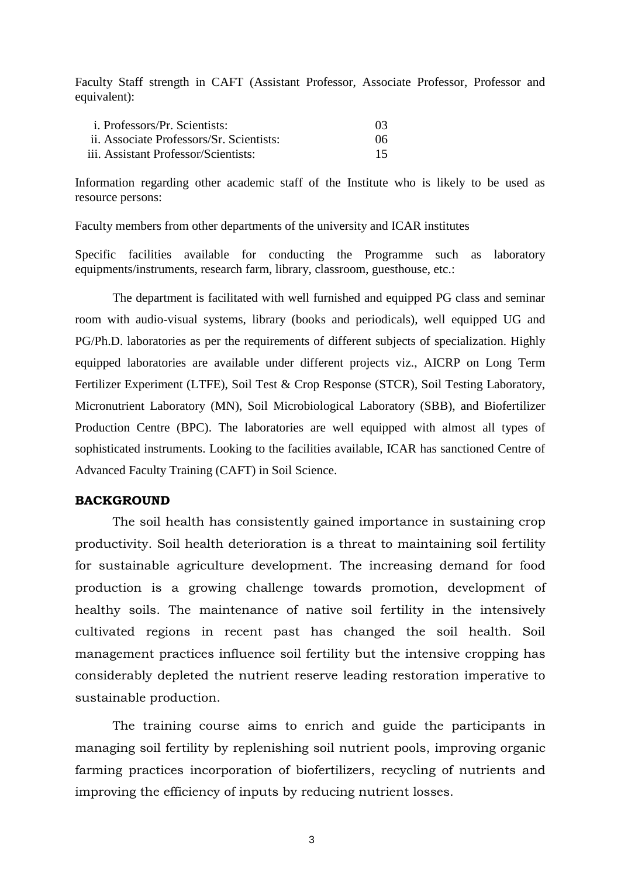Faculty Staff strength in CAFT (Assistant Professor, Associate Professor, Professor and equivalent):

| <i>i. Professors/Pr. Scientists:</i>     | 0 <sup>3</sup> |
|------------------------------------------|----------------|
| ii. Associate Professors/Sr. Scientists: | 06             |
| iii. Assistant Professor/Scientists:     | 15             |

Information regarding other academic staff of the Institute who is likely to be used as resource persons:

Faculty members from other departments of the university and ICAR institutes

Specific facilities available for conducting the Programme such as laboratory equipments/instruments, research farm, library, classroom, guesthouse, etc.:

The department is facilitated with well furnished and equipped PG class and seminar room with audio-visual systems, library (books and periodicals), well equipped UG and PG/Ph.D. laboratories as per the requirements of different subjects of specialization. Highly equipped laboratories are available under different projects viz., AICRP on Long Term Fertilizer Experiment (LTFE), Soil Test & Crop Response (STCR), Soil Testing Laboratory, Micronutrient Laboratory (MN), Soil Microbiological Laboratory (SBB), and Biofertilizer Production Centre (BPC). The laboratories are well equipped with almost all types of sophisticated instruments. Looking to the facilities available, ICAR has sanctioned Centre of Advanced Faculty Training (CAFT) in Soil Science.

#### **BACKGROUND**

The soil health has consistently gained importance in sustaining crop productivity. Soil health deterioration is a threat to maintaining soil fertility for sustainable agriculture development. The increasing demand for food production is a growing challenge towards promotion, development of healthy soils. The maintenance of native soil fertility in the intensively cultivated regions in recent past has changed the soil health. Soil management practices influence soil fertility but the intensive cropping has considerably depleted the nutrient reserve leading restoration imperative to sustainable production.

The training course aims to enrich and guide the participants in managing soil fertility by replenishing soil nutrient pools, improving organic farming practices incorporation of biofertilizers, recycling of nutrients and improving the efficiency of inputs by reducing nutrient losses.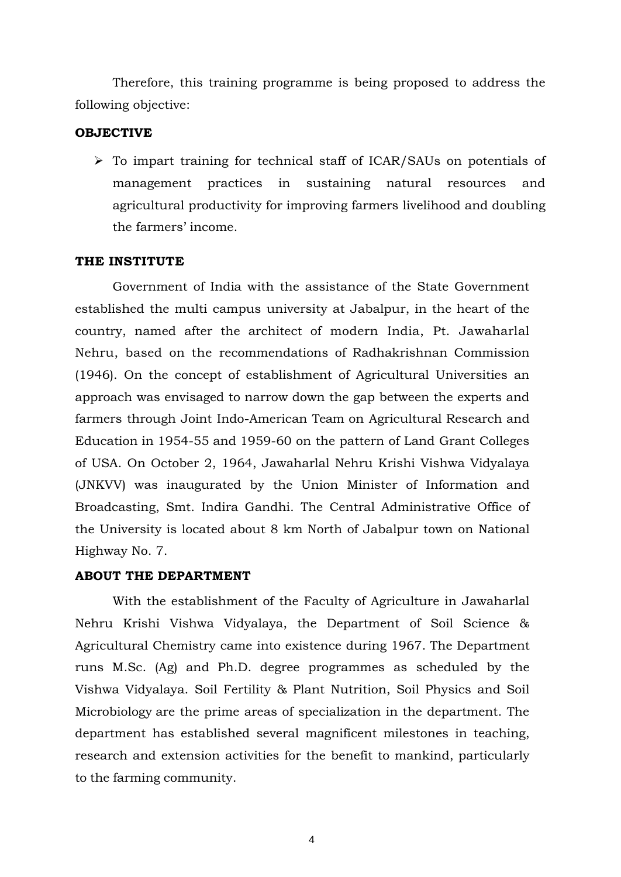Therefore, this training programme is being proposed to address the following objective:

### **OBJECTIVE**

 To impart training for technical staff of ICAR/SAUs on potentials of management practices in sustaining natural resources and agricultural productivity for improving farmers livelihood and doubling the farmers' income.

#### **THE INSTITUTE**

Government of India with the assistance of the State Government established the multi campus university at Jabalpur, in the heart of the country, named after the architect of modern India, Pt. Jawaharlal Nehru, based on the recommendations of Radhakrishnan Commission (1946). On the concept of establishment of Agricultural Universities an approach was envisaged to narrow down the gap between the experts and farmers through Joint Indo-American Team on Agricultural Research and Education in 1954-55 and 1959-60 on the pattern of Land Grant Colleges of USA. On October 2, 1964, Jawaharlal Nehru Krishi Vishwa Vidyalaya (JNKVV) was inaugurated by the Union Minister of Information and Broadcasting, Smt. Indira Gandhi. The Central Administrative Office of the University is located about 8 km North of Jabalpur town on National Highway No. 7.

#### **ABOUT THE DEPARTMENT**

With the establishment of the Faculty of Agriculture in Jawaharlal Nehru Krishi Vishwa Vidyalaya, the Department of Soil Science & Agricultural Chemistry came into existence during 1967. The Department runs M.Sc. (Ag) and Ph.D. degree programmes as scheduled by the Vishwa Vidyalaya. Soil Fertility & Plant Nutrition, Soil Physics and Soil Microbiology are the prime areas of specialization in the department. The department has established several magnificent milestones in teaching, research and extension activities for the benefit to mankind, particularly to the farming community.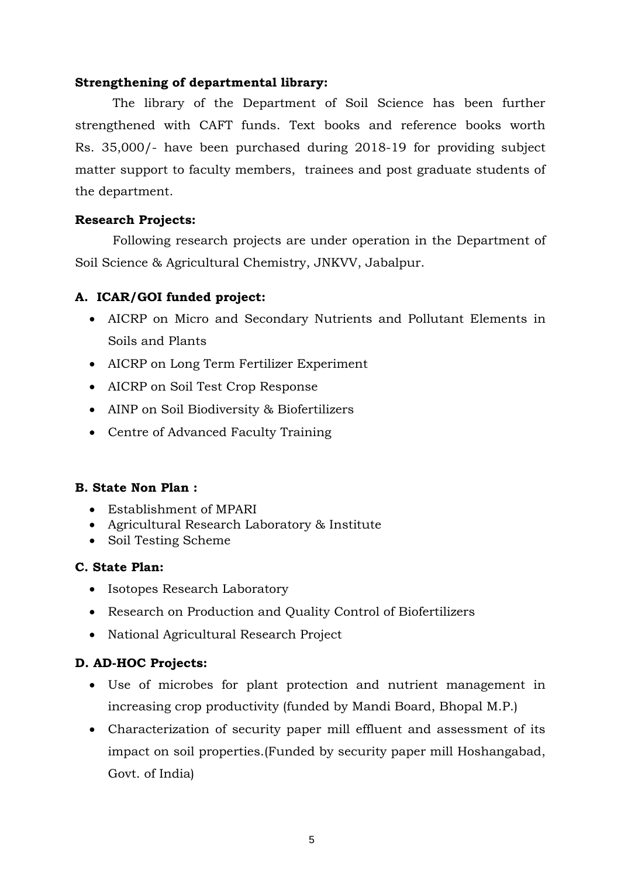### **Strengthening of departmental library:**

The library of the Department of Soil Science has been further strengthened with CAFT funds. Text books and reference books worth Rs. 35,000/- have been purchased during 2018-19 for providing subject matter support to faculty members, trainees and post graduate students of the department.

### **Research Projects:**

Following research projects are under operation in the Department of Soil Science & Agricultural Chemistry, JNKVV, Jabalpur.

### **A. ICAR/GOI funded project:**

- AICRP on Micro and Secondary Nutrients and Pollutant Elements in Soils and Plants
- AICRP on Long Term Fertilizer Experiment
- AICRP on Soil Test Crop Response
- AINP on Soil Biodiversity & Biofertilizers
- Centre of Advanced Faculty Training

### **B. State Non Plan :**

- Establishment of MPARI
- Agricultural Research Laboratory & Institute
- Soil Testing Scheme

### **C. State Plan:**

- Isotopes Research Laboratory
- Research on Production and Quality Control of Biofertilizers
- National Agricultural Research Project

### **D. AD-HOC Projects:**

- Use of microbes for plant protection and nutrient management in increasing crop productivity (funded by Mandi Board, Bhopal M.P.)
- Characterization of security paper mill effluent and assessment of its impact on soil properties.(Funded by security paper mill Hoshangabad, Govt. of India)